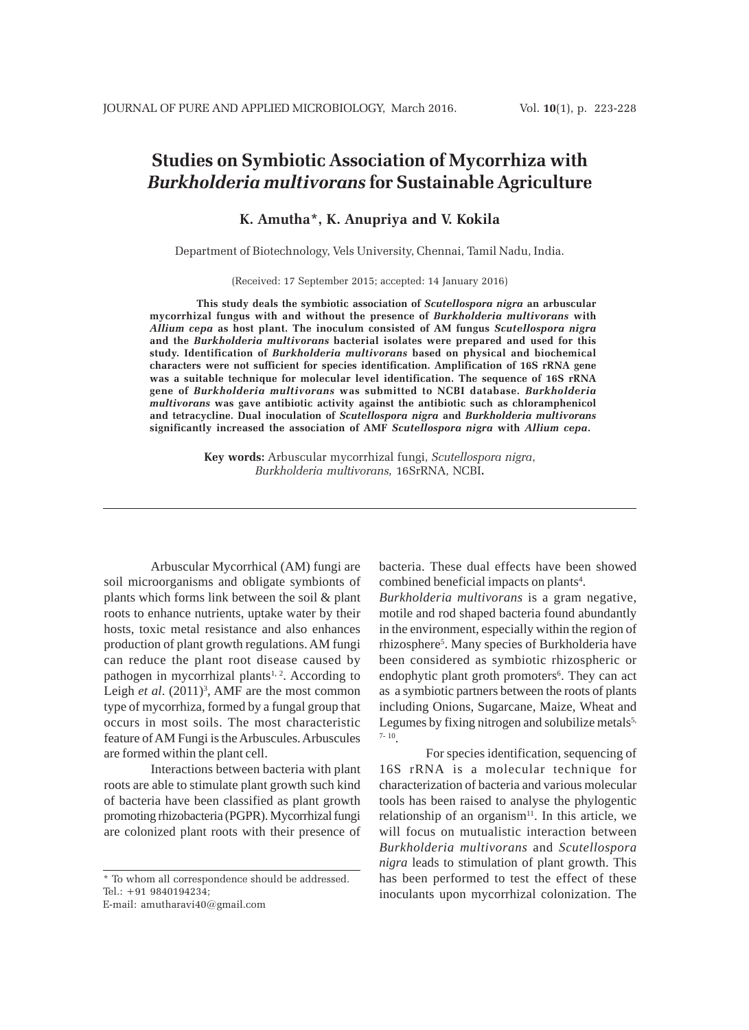# **Studies on Symbiotic Association of Mycorrhiza with** *Burkholderia multivorans* **for Sustainable Agriculture**

### **K. Amutha\*, K. Anupriya and V. Kokila**

Department of Biotechnology, Vels University, Chennai, Tamil Nadu, India.

(Received: 17 September 2015; accepted: 14 January 2016)

**This study deals the symbiotic association of** *Scutellospora nigra* **an arbuscular mycorrhizal fungus with and without the presence of** *Burkholderia multivorans* **with** *Allium cepa* **as host plant. The inoculum consisted of AM fungus** *Scutellospora nigra* **and the** *Burkholderia multivorans* **bacterial isolates were prepared and used for this study. Identification of** *Burkholderia multivorans* **based on physical and biochemical characters were not sufficient for species identification. Amplification of 16S rRNA gene was a suitable technique for molecular level identification. The sequence of 16S rRNA gene of** *Burkholderia multivorans* **was submitted to NCBI database.** *Burkholderia multivorans* **was gave antibiotic activity against the antibiotic such as chloramphenicol and tetracycline. Dual inoculation of** *Scutellospora nigra* **and** *Burkholderia multivorans* **significantly increased the association of AMF** *Scutellospora nigra* **with** *Allium cepa***.**

> **Key words:** Arbuscular mycorrhizal fungi, *Scutellospora nigra*, *Burkholderia multivorans,* 16SrRNA, NCBI**.**

Arbuscular Mycorrhical (AM) fungi are soil microorganisms and obligate symbionts of plants which forms link between the soil & plant roots to enhance nutrients, uptake water by their hosts, toxic metal resistance and also enhances production of plant growth regulations. AM fungi can reduce the plant root disease caused by pathogen in mycorrhizal plants<sup>1, 2</sup>. According to Leigh *et al.* (2011)<sup>3</sup>, AMF are the most common type of mycorrhiza, formed by a fungal group that occurs in most soils. The most characteristic feature of AM Fungi is the Arbuscules. Arbuscules are formed within the plant cell.

Interactions between bacteria with plant roots are able to stimulate plant growth such kind of bacteria have been classified as plant growth promoting rhizobacteria (PGPR). Mycorrhizal fungi are colonized plant roots with their presence of

\* To whom all correspondence should be addressed. Tel.: +91 9840194234;

E-mail: amutharavi40@gmail.com

bacteria. These dual effects have been showed combined beneficial impacts on plants<sup>4</sup>.

*Burkholderia multivorans* is a gram negative, motile and rod shaped bacteria found abundantly in the environment, especially within the region of rhizosphere<sup>5</sup>. Many species of Burkholderia have been considered as symbiotic rhizospheric or endophytic plant groth promoters<sup>6</sup>. They can act as a symbiotic partners between the roots of plants including Onions, Sugarcane, Maize, Wheat and Legumes by fixing nitrogen and solubilize metals<sup>5,</sup> 7- 10.

For species identification, sequencing of 16S rRNA is a molecular technique for characterization of bacteria and various molecular tools has been raised to analyse the phylogentic relationship of an organism<sup>11</sup>. In this article, we will focus on mutualistic interaction between *Burkholderia multivorans* and *Scutellospora nigra* leads to stimulation of plant growth. This has been performed to test the effect of these inoculants upon mycorrhizal colonization. The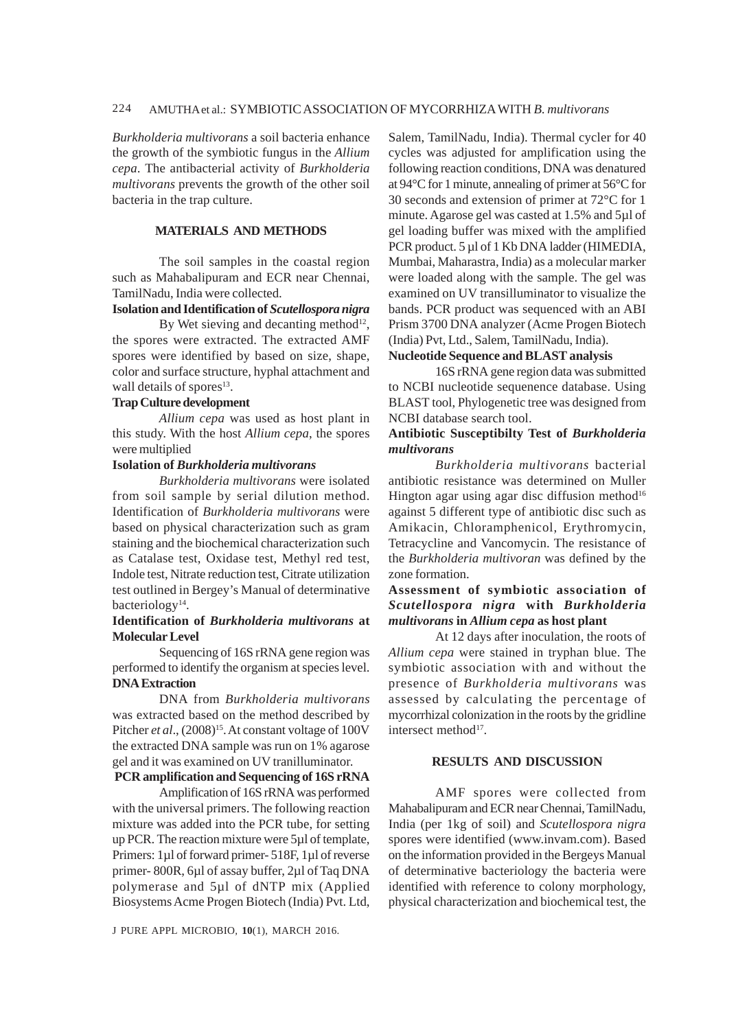### 224 AMUTHA et al.: SYMBIOTIC ASSOCIATION OF MYCORRHIZA WITH *B. multivorans*

*Burkholderia multivorans* a soil bacteria enhance the growth of the symbiotic fungus in the *Allium cepa*. The antibacterial activity of *Burkholderia multivorans* prevents the growth of the other soil bacteria in the trap culture.

### **MATERIALS AND METHODS**

The soil samples in the coastal region such as Mahabalipuram and ECR near Chennai, TamilNadu, India were collected.

#### **Isolation and Identification of** *Scutellospora nigra*

By Wet sieving and decanting method<sup>12</sup>, the spores were extracted. The extracted AMF spores were identified by based on size, shape, color and surface structure, hyphal attachment and wall details of spores<sup>13</sup>.

### **Trap Culture development**

*Allium cepa* was used as host plant in this study. With the host *Allium cepa*, the spores were multiplied

### **Isolation of** *Burkholderia multivorans*

*Burkholderia multivorans* were isolated from soil sample by serial dilution method. Identification of *Burkholderia multivorans* were based on physical characterization such as gram staining and the biochemical characterization such as Catalase test, Oxidase test, Methyl red test, Indole test, Nitrate reduction test, Citrate utilization test outlined in Bergey's Manual of determinative bacteriology<sup>14</sup>.

### **Identification of** *Burkholderia multivorans* **at Molecular Level**

Sequencing of 16S rRNA gene region was performed to identify the organism at species level. **DNA Extraction**

DNA from *Burkholderia multivorans* was extracted based on the method described by Pitcher et al.,  $(2008)^{15}$ . At constant voltage of 100V the extracted DNA sample was run on 1% agarose gel and it was examined on UV tranilluminator.

### **PCR amplification and Sequencing of 16S rRNA**

Amplification of 16S rRNA was performed with the universal primers. The following reaction mixture was added into the PCR tube, for setting up PCR. The reaction mixture were 5µl of template, Primers: 1µl of forward primer- 518F, 1µl of reverse primer- 800R, 6µl of assay buffer, 2µl of Taq DNA polymerase and 5µl of dNTP mix (Applied Biosystems Acme Progen Biotech (India) Pvt. Ltd,

J PURE APPL MICROBIO*,* **10**(1), MARCH 2016.

Salem, TamilNadu, India). Thermal cycler for 40 cycles was adjusted for amplification using the following reaction conditions, DNA was denatured at 94°C for 1 minute, annealing of primer at 56°C for 30 seconds and extension of primer at 72°C for 1 minute. Agarose gel was casted at 1.5% and 5µl of gel loading buffer was mixed with the amplified PCR product. 5 µl of 1 Kb DNA ladder (HIMEDIA, Mumbai, Maharastra, India) as a molecular marker were loaded along with the sample. The gel was examined on UV transilluminator to visualize the bands. PCR product was sequenced with an ABI Prism 3700 DNA analyzer (Acme Progen Biotech (India) Pvt, Ltd., Salem, TamilNadu, India).

# **Nucleotide Sequence and BLAST analysis**

16S rRNA gene region data was submitted to NCBI nucleotide sequenence database. Using BLAST tool, Phylogenetic tree was designed from NCBI database search tool.

### **Antibiotic Susceptibilty Test of** *Burkholderia multivorans*

*Burkholderia multivorans* bacterial antibiotic resistance was determined on Muller Hington agar using agar disc diffusion method<sup>16</sup> against 5 different type of antibiotic disc such as Amikacin, Chloramphenicol, Erythromycin, Tetracycline and Vancomycin. The resistance of the *Burkholderia multivoran* was defined by the zone formation.

## **Assessment of symbiotic association of** *Scutellospora nigra* **with** *Burkholderia multivorans* **in** *Allium cepa* **as host plant**

At 12 days after inoculation, the roots of *Allium cepa* were stained in tryphan blue. The symbiotic association with and without the presence of *Burkholderia multivorans* was assessed by calculating the percentage of mycorrhizal colonization in the roots by the gridline intersect method<sup>17</sup>.

### **RESULTS AND DISCUSSION**

AMF spores were collected from Mahabalipuram and ECR near Chennai, TamilNadu, India (per 1kg of soil) and *Scutellospora nigra* spores were identified (www.invam.com). Based on the information provided in the Bergeys Manual of determinative bacteriology the bacteria were identified with reference to colony morphology, physical characterization and biochemical test, the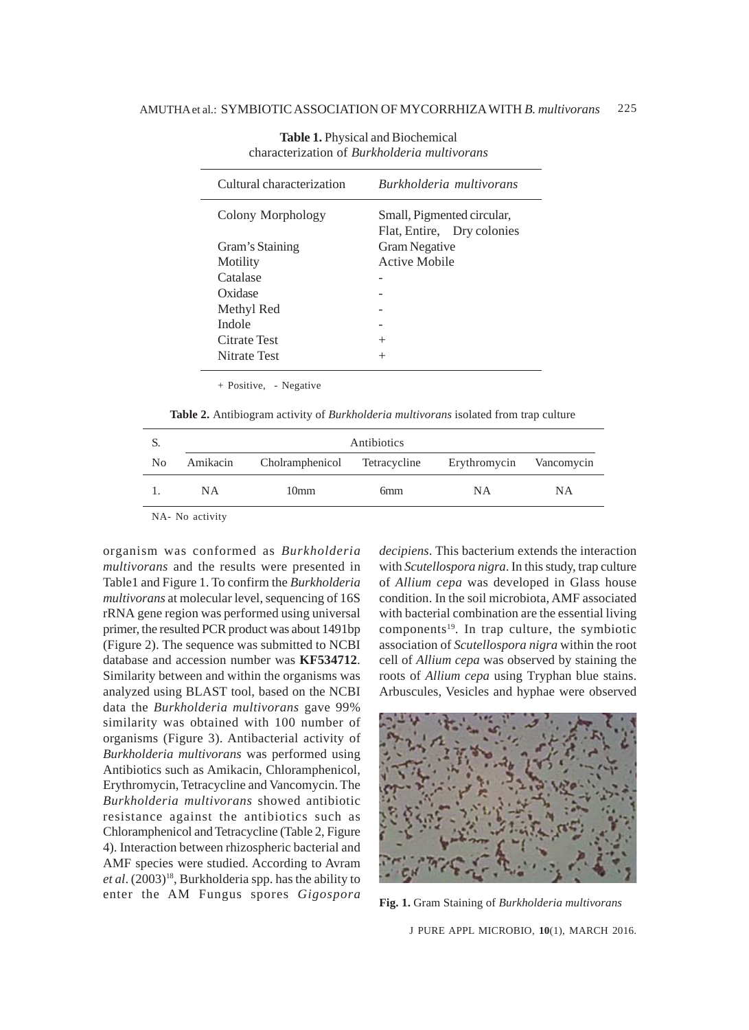| Cultural characterization | Burkholderia multivorans                                 |  |  |
|---------------------------|----------------------------------------------------------|--|--|
| Colony Morphology         | Small, Pigmented circular,<br>Flat, Entire, Dry colonies |  |  |
| Gram's Staining           | <b>Gram Negative</b>                                     |  |  |
| Motility                  | Active Mobile                                            |  |  |
| Catalase                  |                                                          |  |  |
| Oxidase                   |                                                          |  |  |
| Methyl Red                |                                                          |  |  |
| Indole                    |                                                          |  |  |
| Citrate Test              | $^{+}$                                                   |  |  |
| Nitrate Test              |                                                          |  |  |

**Table 1.** Physical and Biochemical characterization of *Burkholderia multivorans*

+ Positive, - Negative

**Table 2.** Antibiogram activity of *Burkholderia multivorans* isolated from trap culture

| S. |                 | Antibiotics                           |                 |              |            |  |
|----|-----------------|---------------------------------------|-----------------|--------------|------------|--|
| No |                 | Amikacin Cholramphenicol Tetracycline |                 | Erythromycin | Vancomycin |  |
|    | <b>NA</b>       | 10 <sub>mm</sub>                      | 6 <sub>mm</sub> | NA.          | <b>NA</b>  |  |
|    | $NTA$ $NT = -1$ |                                       |                 |              |            |  |

NA- No activity

organism was conformed as *Burkholderia multivorans* and the results were presented in Table1 and Figure 1. To confirm the *Burkholderia multivorans* at molecular level, sequencing of 16S rRNA gene region was performed using universal primer, the resulted PCR product was about 1491bp (Figure 2). The sequence was submitted to NCBI database and accession number was **KF534712**. Similarity between and within the organisms was analyzed using BLAST tool, based on the NCBI data the *Burkholderia multivorans* gave 99% similarity was obtained with 100 number of organisms (Figure 3). Antibacterial activity of *Burkholderia multivorans* was performed using Antibiotics such as Amikacin, Chloramphenicol, Erythromycin, Tetracycline and Vancomycin. The *Burkholderia multivorans* showed antibiotic resistance against the antibiotics such as Chloramphenicol and Tetracycline (Table 2, Figure 4). Interaction between rhizospheric bacterial and AMF species were studied. According to Avram et al. (2003)<sup>18</sup>, Burkholderia spp. has the ability to enter the AM Fungus spores *Gigospora*

*decipiens*. This bacterium extends the interaction with *Scutellospora nigra*. In this study, trap culture of *Allium cepa* was developed in Glass house condition. In the soil microbiota, AMF associated with bacterial combination are the essential living  $components<sup>19</sup>$ . In trap culture, the symbiotic association of *Scutellospora nigra* within the root cell of *Allium cepa* was observed by staining the roots of *Allium cepa* using Tryphan blue stains. Arbuscules, Vesicles and hyphae were observed



**Fig. 1.** Gram Staining of *Burkholderia multivorans*

J PURE APPL MICROBIO*,* **10**(1), MARCH 2016.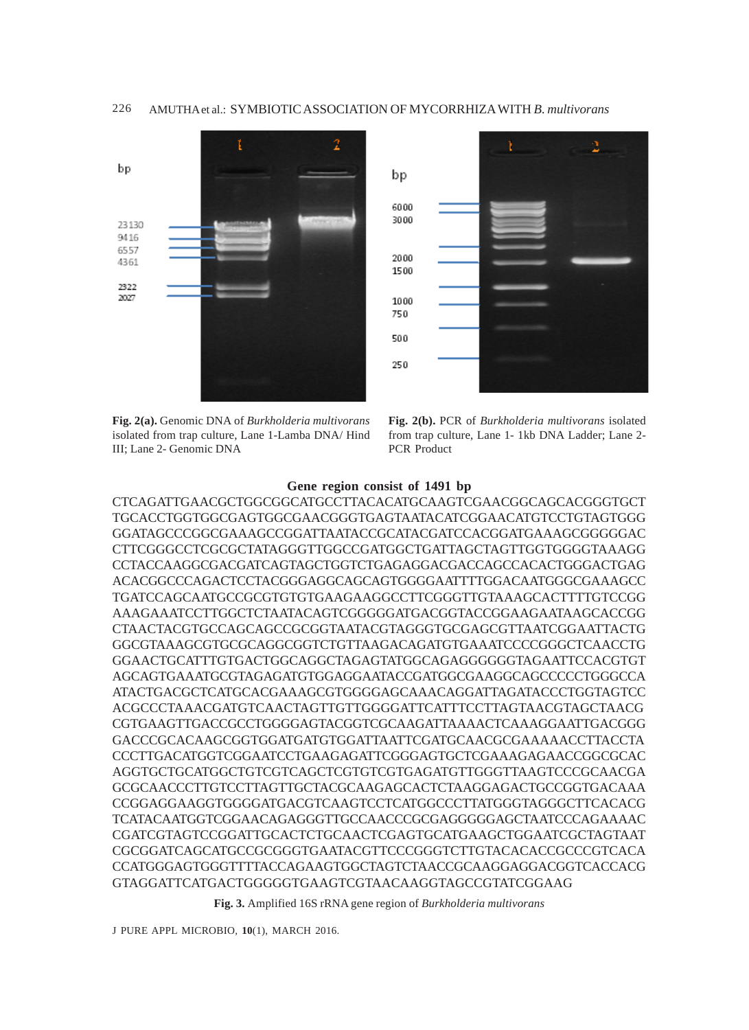



**Fig. 2(a).** Genomic DNA of *Burkholderia multivorans* isolated from trap culture, Lane 1-Lamba DNA/ Hind III; Lane 2- Genomic DNA

**Fig. 2(b).** PCR of *Burkholderia multivorans* isolated from trap culture, Lane 1- 1kb DNA Ladder; Lane 2- PCR Product

### **Gene region consist of 1491 bp**

CTCAGATTGAACGCTGGCGGCATGCCTTACACATGCAAGTCGAACGGCAGCACGGGTGCT TGCACCTGGTGGCGAGTGGCGAACGGGTGAGTAATACATCGGAACATGTCCTGTAGTGGG GGATAGCCCGGCGAAAGCCGGATTAATACCGCATACGATCCACGGATGAAAGCGGGGGAC CTTCGGGCCTCGCGCTATAGGGTTGGCCGATGGCTGATTAGCTAGTTGGTGGGGTAAAGG CCTACCAAGGCGACGATCAGTAGCTGGTCTGAGAGGACGACCAGCCACACTGGGACTGAG ACACGGCCCAGACTCCTACGGGAGGCAGCAGTGGGGAATTTTGGACAATGGGCGAAAGCC TGATCCAGCAATGCCGCGTGTGTGAAGAAGGCCTTCGGGTTGTAAAGCACTTTTGTCCGG AAAGAAATCCTTGGCTCTAATACAGTCGGGGGATGACGGTACCGGAAGAATAAGCACCGG CTAACTACGTGCCAGCAGCCGCGGTAATACGTAGGGTGCGAGCGTTAATCGGAATTACTG GGCGTAAAGCGTGCGCAGGCGGTCTGTTAAGACAGATGTGAAATCCCCGGGCTCAACCTG GGAACTGCATTTGTGACTGGCAGGCTAGAGTATGGCAGAGGGGGGTAGAATTCCACGTGT AGCAGTGAAATGCGTAGAGATGTGGAGGAATACCGATGGCGAAGGCAGCCCCCTGGGCCA ATACTGACGCTCATGCACGAAAGCGTGGGGAGCAAACAGGATTAGATACCCTGGTAGTCC ACGCCCTAAACGATGTCAACTAGTTGTTGGGGATTCATTTCCTTAGTAACGTAGCTAACG CGTGAAGTTGACCGCCTGGGGAGTACGGTCGCAAGATTAAAACTCAAAGGAATTGACGGG GACCCGCACAAGCGGTGGATGATGTGGATTAATTCGATGCAACGCGAAAAACCTTACCTA CCCTTGACATGGTCGGAATCCTGAAGAGATTCGGGAGTGCTCGAAAGAGAACCGGCGCAC AGGTGCTGCATGGCTGTCGTCAGCTCGTGTCGTGAGATGTTGGGTTAAGTCCCGCAACGA GCGCAACCCTTGTCCTTAGTTGCTACGCAAGAGCACTCTAAGGAGACTGCCGGTGACAAA CCGGAGGAAGGTGGGGATGACGTCAAGTCCTCATGGCCCTTATGGGTAGGGCTTCACACG TCATACAATGGTCGGAACAGAGGGTTGCCAACCCGCGAGGGGGAGCTAATCCCAGAAAAC CGATCGTAGTCCGGATTGCACTCTGCAACTCGAGTGCATGAAGCTGGAATCGCTAGTAAT CGCGGATCAGCATGCCGCGGGTGAATACGTTCCCGGGTCTTGTACACACCGCCCGTCACA CCATGGGAGTGGGTTTTACCAGAAGTGGCTAGTCTAACCGCAAGGAGGACGGTCACCACG GTAGGATTCATGACTGGGGGTGAAGTCGTAACAAGGTAGCCGTATCGGAAG

**Fig. 3.** Amplified 16S rRNA gene region of *Burkholderia multivorans*

J PURE APPL MICROBIO*,* **10**(1), MARCH 2016.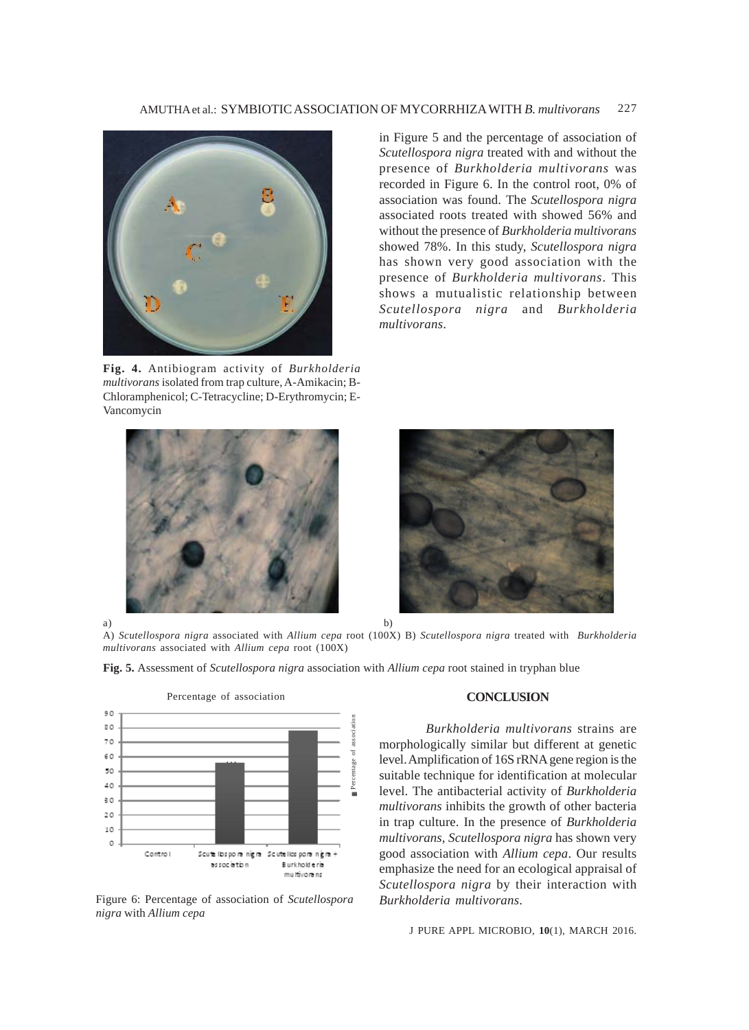

**Fig. 4.** Antibiogram activity of *Burkholderia multivorans* isolated from trap culture, A-Amikacin; B-Chloramphenicol; C-Tetracycline; D-Erythromycin; E-Vancomycin

in Figure 5 and the percentage of association of *Scutellospora nigra* treated with and without the presence of *Burkholderia multivorans* was recorded in Figure 6. In the control root, 0% of association was found. The *Scutellospora nigra* associated roots treated with showed 56% and without the presence of *Burkholderia multivorans* showed 78%. In this study, *Scutellospora nigra* has shown very good association with the presence of *Burkholderia multivorans*. This shows a mutualistic relationship between *Scutellospora nigra* and *Burkholderia multivorans*.





a) b) A) *Scutellospora nigra* associated with *Allium cepa* root (100X) B) *Scutellospora nigra* treated with *Burkholderia multivorans* associated with *Allium cepa* root (100X)

**Fig. 5.** Assessment of *Scutellospora nigra* association with *Allium cepa* root stained in tryphan blue



Figure 6: Percentage of association of *Scutellospora nigra* with *Allium cepa*

### **CONCLUSION**

*Burkholderia multivorans* strains are morphologically similar but different at genetic level. Amplification of 16S rRNA gene region is the suitable technique for identification at molecular level. The antibacterial activity of *Burkholderia multivorans* inhibits the growth of other bacteria in trap culture. In the presence of *Burkholderia multivorans*, *Scutellospora nigra* has shown very good association with *Allium cepa*. Our results emphasize the need for an ecological appraisal of *Scutellospora nigra* by their interaction with *Burkholderia multivorans*.

J PURE APPL MICROBIO*,* **10**(1), MARCH 2016.